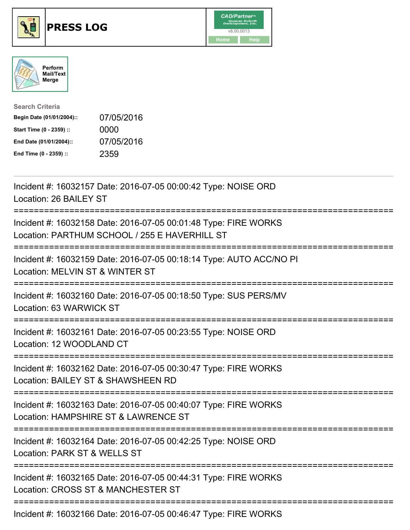

## **PRESS LOG** v8.00.0013





| <b>Search Criteria</b>    |            |
|---------------------------|------------|
| Begin Date (01/01/2004):: | 07/05/2016 |
| Start Time (0 - 2359) ::  | 0000       |
| End Date (01/01/2004)::   | 07/05/2016 |
| End Time (0 - 2359) ::    | 2359       |

Incident #: 16032157 Date: 2016-07-05 00:00:42 Type: NOISE ORD Location: 26 BAILEY ST =========================================================================== Incident #: 16032158 Date: 2016-07-05 00:01:48 Type: FIRE WORKS Location: PARTHUM SCHOOL / 255 E HAVERHILL ST =========================================================================== Incident #: 16032159 Date: 2016-07-05 00:18:14 Type: AUTO ACC/NO PI Location: MELVIN ST & WINTER ST =========================================================================== Incident #: 16032160 Date: 2016-07-05 00:18:50 Type: SUS PERS/MV Location: 63 WARWICK ST =========================================================================== Incident #: 16032161 Date: 2016-07-05 00:23:55 Type: NOISE ORD Location: 12 WOODLAND CT =========================================================================== Incident #: 16032162 Date: 2016-07-05 00:30:47 Type: FIRE WORKS Location: BAILEY ST & SHAWSHEEN RD =========================================================================== Incident #: 16032163 Date: 2016-07-05 00:40:07 Type: FIRE WORKS Location: HAMPSHIRE ST & LAWRENCE ST =========================================================================== Incident #: 16032164 Date: 2016-07-05 00:42:25 Type: NOISE ORD Location: PARK ST & WELLS ST =========================================================================== Incident #: 16032165 Date: 2016-07-05 00:44:31 Type: FIRE WORKS Location: CROSS ST & MANCHESTER ST =========================================================================== Incident #: 16032166 Date: 2016-07-05 00:46:47 Type: FIRE WORKS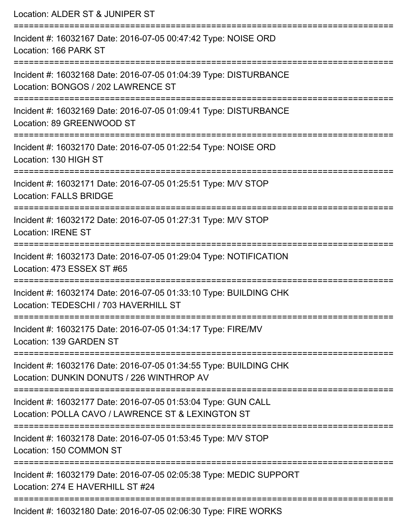| Location: ALDER ST & JUNIPER ST                                                                                                   |
|-----------------------------------------------------------------------------------------------------------------------------------|
| Incident #: 16032167 Date: 2016-07-05 00:47:42 Type: NOISE ORD<br>Location: 166 PARK ST<br>:===================================== |
| Incident #: 16032168 Date: 2016-07-05 01:04:39 Type: DISTURBANCE<br>Location: BONGOS / 202 LAWRENCE ST                            |
| Incident #: 16032169 Date: 2016-07-05 01:09:41 Type: DISTURBANCE<br>Location: 89 GREENWOOD ST                                     |
| Incident #: 16032170 Date: 2016-07-05 01:22:54 Type: NOISE ORD<br>Location: 130 HIGH ST                                           |
| Incident #: 16032171 Date: 2016-07-05 01:25:51 Type: M/V STOP<br><b>Location: FALLS BRIDGE</b>                                    |
| Incident #: 16032172 Date: 2016-07-05 01:27:31 Type: M/V STOP<br><b>Location: IRENE ST</b>                                        |
| Incident #: 16032173 Date: 2016-07-05 01:29:04 Type: NOTIFICATION<br>Location: 473 ESSEX ST #65                                   |
| Incident #: 16032174 Date: 2016-07-05 01:33:10 Type: BUILDING CHK<br>Location: TEDESCHI / 703 HAVERHILL ST                        |
| Incident #: 16032175 Date: 2016-07-05 01:34:17 Type: FIRE/MV<br>Location: 139 GARDEN ST                                           |
| Incident #: 16032176 Date: 2016-07-05 01:34:55 Type: BUILDING CHK<br>Location: DUNKIN DONUTS / 226 WINTHROP AV                    |
| Incident #: 16032177 Date: 2016-07-05 01:53:04 Type: GUN CALL<br>Location: POLLA CAVO / LAWRENCE ST & LEXINGTON ST                |
| Incident #: 16032178 Date: 2016-07-05 01:53:45 Type: M/V STOP<br>Location: 150 COMMON ST                                          |
| Incident #: 16032179 Date: 2016-07-05 02:05:38 Type: MEDIC SUPPORT<br>Location: 274 E HAVERHILL ST #24                            |
| Incident #: 16032180 Date: 2016-07-05 02:06:30 Type: FIRE WORKS                                                                   |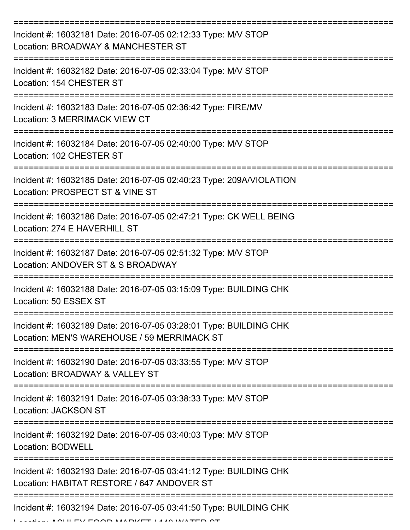| Incident #: 16032181 Date: 2016-07-05 02:12:33 Type: M/V STOP<br>Location: BROADWAY & MANCHESTER ST              |
|------------------------------------------------------------------------------------------------------------------|
| Incident #: 16032182 Date: 2016-07-05 02:33:04 Type: M/V STOP<br>Location: 154 CHESTER ST                        |
| Incident #: 16032183 Date: 2016-07-05 02:36:42 Type: FIRE/MV<br><b>Location: 3 MERRIMACK VIEW CT</b>             |
| Incident #: 16032184 Date: 2016-07-05 02:40:00 Type: M/V STOP<br>Location: 102 CHESTER ST                        |
| Incident #: 16032185 Date: 2016-07-05 02:40:23 Type: 209A/VIOLATION<br>Location: PROSPECT ST & VINE ST           |
| Incident #: 16032186 Date: 2016-07-05 02:47:21 Type: CK WELL BEING<br>Location: 274 E HAVERHILL ST               |
| Incident #: 16032187 Date: 2016-07-05 02:51:32 Type: M/V STOP<br>Location: ANDOVER ST & S BROADWAY               |
| Incident #: 16032188 Date: 2016-07-05 03:15:09 Type: BUILDING CHK<br>Location: 50 ESSEX ST                       |
| Incident #: 16032189 Date: 2016-07-05 03:28:01 Type: BUILDING CHK<br>Location: MEN'S WAREHOUSE / 59 MERRIMACK ST |
| Incident #: 16032190 Date: 2016-07-05 03:33:55 Type: M/V STOP<br>Location: BROADWAY & VALLEY ST                  |
| Incident #: 16032191 Date: 2016-07-05 03:38:33 Type: M/V STOP<br>Location: JACKSON ST                            |
| Incident #: 16032192 Date: 2016-07-05 03:40:03 Type: M/V STOP<br><b>Location: BODWELL</b>                        |
| Incident #: 16032193 Date: 2016-07-05 03:41:12 Type: BUILDING CHK<br>Location: HABITAT RESTORE / 647 ANDOVER ST  |
| Incident #: 16032194 Date: 2016-07-05 03:41:50 Type: BUILDING CHK                                                |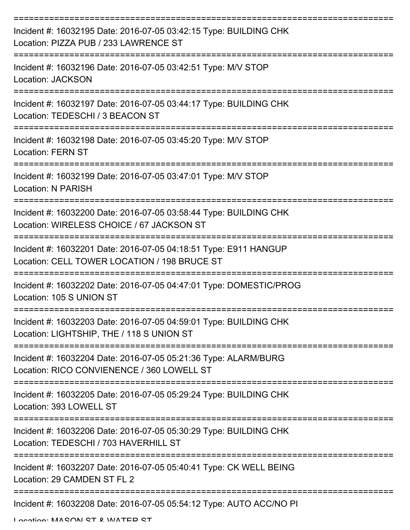| Incident #: 16032195 Date: 2016-07-05 03:42:15 Type: BUILDING CHK<br>Location: PIZZA PUB / 233 LAWRENCE ST       |
|------------------------------------------------------------------------------------------------------------------|
| Incident #: 16032196 Date: 2016-07-05 03:42:51 Type: M/V STOP<br><b>Location: JACKSON</b>                        |
| Incident #: 16032197 Date: 2016-07-05 03:44:17 Type: BUILDING CHK<br>Location: TEDESCHI / 3 BEACON ST            |
| Incident #: 16032198 Date: 2016-07-05 03:45:20 Type: M/V STOP<br><b>Location: FERN ST</b>                        |
| Incident #: 16032199 Date: 2016-07-05 03:47:01 Type: M/V STOP<br><b>Location: N PARISH</b>                       |
| Incident #: 16032200 Date: 2016-07-05 03:58:44 Type: BUILDING CHK<br>Location: WIRELESS CHOICE / 67 JACKSON ST   |
| Incident #: 16032201 Date: 2016-07-05 04:18:51 Type: E911 HANGUP<br>Location: CELL TOWER LOCATION / 198 BRUCE ST |
| Incident #: 16032202 Date: 2016-07-05 04:47:01 Type: DOMESTIC/PROG<br>Location: 105 S UNION ST                   |
| Incident #: 16032203 Date: 2016-07-05 04:59:01 Type: BUILDING CHK<br>Location: LIGHTSHIP, THE / 118 S UNION ST   |
| Incident #: 16032204 Date: 2016-07-05 05:21:36 Type: ALARM/BURG<br>Location: RICO CONVIENENCE / 360 LOWELL ST    |
| Incident #: 16032205 Date: 2016-07-05 05:29:24 Type: BUILDING CHK<br>Location: 393 LOWELL ST                     |
| Incident #: 16032206 Date: 2016-07-05 05:30:29 Type: BUILDING CHK<br>Location: TEDESCHI / 703 HAVERHILL ST       |
| Incident #: 16032207 Date: 2016-07-05 05:40:41 Type: CK WELL BEING<br>Location: 29 CAMDEN ST FL 2                |
| Incident #: 16032208 Date: 2016-07-05 05:54:12 Type: AUTO ACC/NO PI                                              |

Location: MASONI ST & WATER ST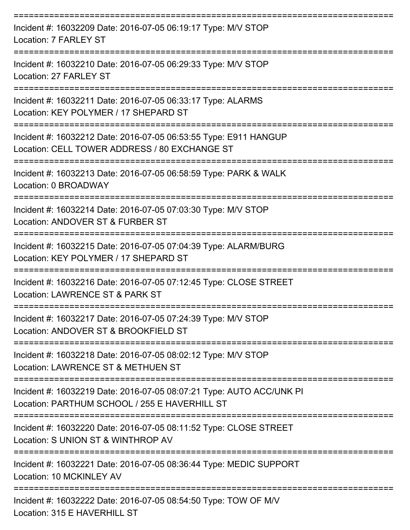| Incident #: 16032209 Date: 2016-07-05 06:19:17 Type: M/V STOP<br>Location: 7 FARLEY ST                                |
|-----------------------------------------------------------------------------------------------------------------------|
| Incident #: 16032210 Date: 2016-07-05 06:29:33 Type: M/V STOP<br>Location: 27 FARLEY ST                               |
| Incident #: 16032211 Date: 2016-07-05 06:33:17 Type: ALARMS<br>Location: KEY POLYMER / 17 SHEPARD ST                  |
| Incident #: 16032212 Date: 2016-07-05 06:53:55 Type: E911 HANGUP<br>Location: CELL TOWER ADDRESS / 80 EXCHANGE ST     |
| Incident #: 16032213 Date: 2016-07-05 06:58:59 Type: PARK & WALK<br>Location: 0 BROADWAY                              |
| Incident #: 16032214 Date: 2016-07-05 07:03:30 Type: M/V STOP<br>Location: ANDOVER ST & FURBER ST                     |
| Incident #: 16032215 Date: 2016-07-05 07:04:39 Type: ALARM/BURG<br>Location: KEY POLYMER / 17 SHEPARD ST              |
| Incident #: 16032216 Date: 2016-07-05 07:12:45 Type: CLOSE STREET<br>Location: LAWRENCE ST & PARK ST                  |
| Incident #: 16032217 Date: 2016-07-05 07:24:39 Type: M/V STOP<br>Location: ANDOVER ST & BROOKFIELD ST                 |
| Incident #: 16032218 Date: 2016-07-05 08:02:12 Type: M/V STOP<br>Location: LAWRENCE ST & METHUEN ST                   |
| Incident #: 16032219 Date: 2016-07-05 08:07:21 Type: AUTO ACC/UNK PI<br>Location: PARTHUM SCHOOL / 255 E HAVERHILL ST |
| Incident #: 16032220 Date: 2016-07-05 08:11:52 Type: CLOSE STREET<br>Location: S UNION ST & WINTHROP AV               |
| Incident #: 16032221 Date: 2016-07-05 08:36:44 Type: MEDIC SUPPORT<br>Location: 10 MCKINLEY AV                        |
| Incident #: 16032222 Date: 2016-07-05 08:54:50 Type: TOW OF M/V<br>Location: 315 E HAVERHILL ST                       |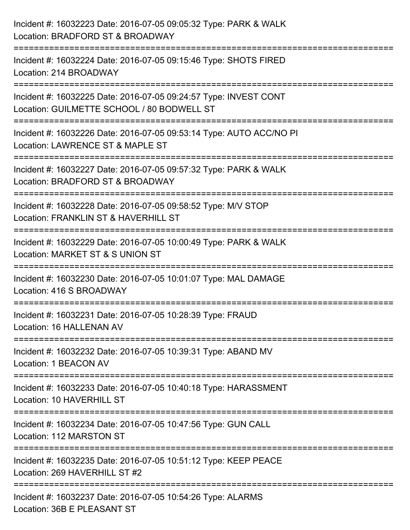| Incident #: 16032223 Date: 2016-07-05 09:05:32 Type: PARK & WALK<br>Location: BRADFORD ST & BROADWAY                                                    |
|---------------------------------------------------------------------------------------------------------------------------------------------------------|
| ==============================<br>Incident #: 16032224 Date: 2016-07-05 09:15:46 Type: SHOTS FIRED<br>Location: 214 BROADWAY                            |
| .---------------<br>-----------------<br>Incident #: 16032225 Date: 2016-07-05 09:24:57 Type: INVEST CONT<br>Location: GUILMETTE SCHOOL / 80 BODWELL ST |
| Incident #: 16032226 Date: 2016-07-05 09:53:14 Type: AUTO ACC/NO PI<br>Location: LAWRENCE ST & MAPLE ST                                                 |
| :========================<br>Incident #: 16032227 Date: 2016-07-05 09:57:32 Type: PARK & WALK<br>Location: BRADFORD ST & BROADWAY                       |
| Incident #: 16032228 Date: 2016-07-05 09:58:52 Type: M/V STOP<br>Location: FRANKLIN ST & HAVERHILL ST                                                   |
| -----------------------<br>Incident #: 16032229 Date: 2016-07-05 10:00:49 Type: PARK & WALK<br>Location: MARKET ST & S UNION ST                         |
| Incident #: 16032230 Date: 2016-07-05 10:01:07 Type: MAL DAMAGE<br>Location: 416 S BROADWAY                                                             |
| Incident #: 16032231 Date: 2016-07-05 10:28:39 Type: FRAUD<br>Location: 16 HALLENAN AV                                                                  |
| Incident #: 16032232 Date: 2016-07-05 10:39:31 Type: ABAND MV<br>Location: 1 BEACON AV                                                                  |
| Incident #: 16032233 Date: 2016-07-05 10:40:18 Type: HARASSMENT<br>Location: 10 HAVERHILL ST                                                            |
| Incident #: 16032234 Date: 2016-07-05 10:47:56 Type: GUN CALL<br>Location: 112 MARSTON ST                                                               |
| Incident #: 16032235 Date: 2016-07-05 10:51:12 Type: KEEP PEACE<br>Location: 269 HAVERHILL ST #2                                                        |
| Incident #: 16032237 Date: 2016-07-05 10:54:26 Type: ALARMS<br>Location: 36B E PLEASANT ST                                                              |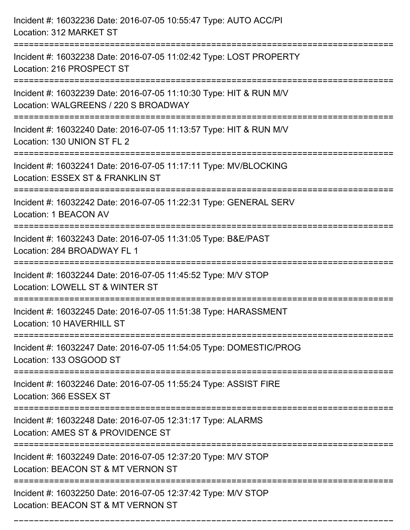| Incident #: 16032236 Date: 2016-07-05 10:55:47 Type: AUTO ACC/PI<br>Location: 312 MARKET ST                                           |
|---------------------------------------------------------------------------------------------------------------------------------------|
| Incident #: 16032238 Date: 2016-07-05 11:02:42 Type: LOST PROPERTY<br>Location: 216 PROSPECT ST                                       |
| Incident #: 16032239 Date: 2016-07-05 11:10:30 Type: HIT & RUN M/V<br>Location: WALGREENS / 220 S BROADWAY<br>======================= |
| Incident #: 16032240 Date: 2016-07-05 11:13:57 Type: HIT & RUN M/V<br>Location: 130 UNION ST FL 2                                     |
| Incident #: 16032241 Date: 2016-07-05 11:17:11 Type: MV/BLOCKING<br>Location: ESSEX ST & FRANKLIN ST                                  |
| Incident #: 16032242 Date: 2016-07-05 11:22:31 Type: GENERAL SERV<br>Location: 1 BEACON AV                                            |
| Incident #: 16032243 Date: 2016-07-05 11:31:05 Type: B&E/PAST<br>Location: 284 BROADWAY FL 1                                          |
| Incident #: 16032244 Date: 2016-07-05 11:45:52 Type: M/V STOP<br>Location: LOWELL ST & WINTER ST                                      |
| Incident #: 16032245 Date: 2016-07-05 11:51:38 Type: HARASSMENT<br>Location: 10 HAVERHILL ST                                          |
| Incident #: 16032247 Date: 2016-07-05 11:54:05 Type: DOMESTIC/PROG<br>Location: 133 OSGOOD ST                                         |
| Incident #: 16032246 Date: 2016-07-05 11:55:24 Type: ASSIST FIRE<br>Location: 366 ESSEX ST                                            |
| Incident #: 16032248 Date: 2016-07-05 12:31:17 Type: ALARMS<br>Location: AMES ST & PROVIDENCE ST                                      |
| Incident #: 16032249 Date: 2016-07-05 12:37:20 Type: M/V STOP<br>Location: BEACON ST & MT VERNON ST                                   |
| Incident #: 16032250 Date: 2016-07-05 12:37:42 Type: M/V STOP<br>Location: BEACON ST & MT VERNON ST                                   |

===========================================================================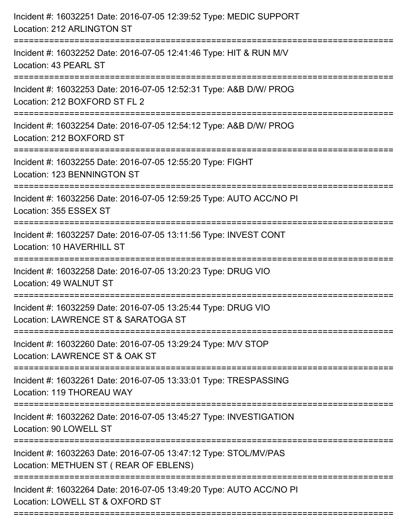| Incident #: 16032251 Date: 2016-07-05 12:39:52 Type: MEDIC SUPPORT<br>Location: 212 ARLINGTON ST                                             |
|----------------------------------------------------------------------------------------------------------------------------------------------|
| Incident #: 16032252 Date: 2016-07-05 12:41:46 Type: HIT & RUN M/V<br>Location: 43 PEARL ST                                                  |
| Incident #: 16032253 Date: 2016-07-05 12:52:31 Type: A&B D/W/ PROG<br>Location: 212 BOXFORD ST FL 2<br>.==================================== |
| Incident #: 16032254 Date: 2016-07-05 12:54:12 Type: A&B D/W/ PROG<br>Location: 212 BOXFORD ST                                               |
| Incident #: 16032255 Date: 2016-07-05 12:55:20 Type: FIGHT<br>Location: 123 BENNINGTON ST                                                    |
| Incident #: 16032256 Date: 2016-07-05 12:59:25 Type: AUTO ACC/NO PI<br>Location: 355 ESSEX ST                                                |
| Incident #: 16032257 Date: 2016-07-05 13:11:56 Type: INVEST CONT<br>Location: 10 HAVERHILL ST                                                |
| Incident #: 16032258 Date: 2016-07-05 13:20:23 Type: DRUG VIO<br>Location: 49 WALNUT ST                                                      |
| Incident #: 16032259 Date: 2016-07-05 13:25:44 Type: DRUG VIO<br>Location: LAWRENCE ST & SARATOGA ST                                         |
| Incident #: 16032260 Date: 2016-07-05 13:29:24 Type: M/V STOP<br>Location: LAWRENCE ST & OAK ST                                              |
| Incident #: 16032261 Date: 2016-07-05 13:33:01 Type: TRESPASSING<br>Location: 119 THOREAU WAY                                                |
| Incident #: 16032262 Date: 2016-07-05 13:45:27 Type: INVESTIGATION<br>Location: 90 LOWELL ST                                                 |
| Incident #: 16032263 Date: 2016-07-05 13:47:12 Type: STOL/MV/PAS<br>Location: METHUEN ST ( REAR OF EBLENS)                                   |
| Incident #: 16032264 Date: 2016-07-05 13:49:20 Type: AUTO ACC/NO PI<br>Location: LOWELL ST & OXFORD ST                                       |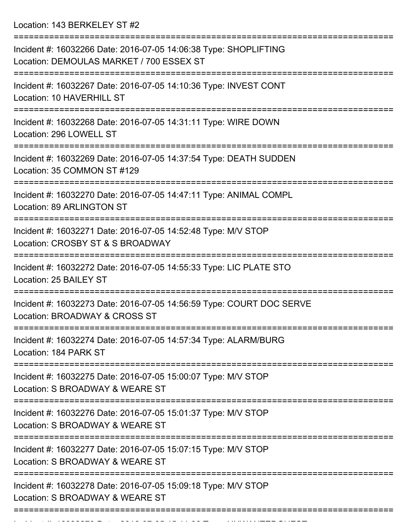Location: 143 BERKELEY ST #2

| Incident #: 16032266 Date: 2016-07-05 14:06:38 Type: SHOPLIFTING<br>Location: DEMOULAS MARKET / 700 ESSEX ST |
|--------------------------------------------------------------------------------------------------------------|
| Incident #: 16032267 Date: 2016-07-05 14:10:36 Type: INVEST CONT<br>Location: 10 HAVERHILL ST                |
| Incident #: 16032268 Date: 2016-07-05 14:31:11 Type: WIRE DOWN<br>Location: 296 LOWELL ST                    |
| Incident #: 16032269 Date: 2016-07-05 14:37:54 Type: DEATH SUDDEN<br>Location: 35 COMMON ST #129             |
| Incident #: 16032270 Date: 2016-07-05 14:47:11 Type: ANIMAL COMPL<br><b>Location: 89 ARLINGTON ST</b>        |
| Incident #: 16032271 Date: 2016-07-05 14:52:48 Type: M/V STOP<br>Location: CROSBY ST & S BROADWAY            |
| Incident #: 16032272 Date: 2016-07-05 14:55:33 Type: LIC PLATE STO<br>Location: 25 BAILEY ST                 |
| Incident #: 16032273 Date: 2016-07-05 14:56:59 Type: COURT DOC SERVE<br>Location: BROADWAY & CROSS ST        |
| Incident #: 16032274 Date: 2016-07-05 14:57:34 Type: ALARM/BURG<br>Location: 184 PARK ST                     |
| Incident #: 16032275 Date: 2016-07-05 15:00:07 Type: M/V STOP<br>Location: S BROADWAY & WEARE ST             |
| Incident #: 16032276 Date: 2016-07-05 15:01:37 Type: M/V STOP<br>Location: S BROADWAY & WEARE ST             |
| Incident #: 16032277 Date: 2016-07-05 15:07:15 Type: M/V STOP<br>Location: S BROADWAY & WEARE ST             |
| Incident #: 16032278 Date: 2016-07-05 15:09:18 Type: M/V STOP<br>Location: S BROADWAY & WEARE ST             |
|                                                                                                              |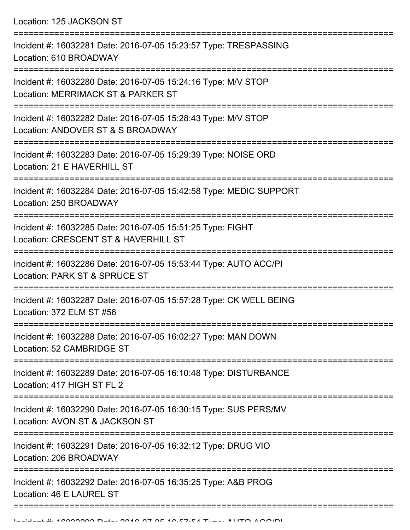Location: 125 JACKSON ST

| Incident #: 16032281 Date: 2016-07-05 15:23:57 Type: TRESPASSING<br>Location: 610 BROADWAY                      |
|-----------------------------------------------------------------------------------------------------------------|
| Incident #: 16032280 Date: 2016-07-05 15:24:16 Type: M/V STOP<br>Location: MERRIMACK ST & PARKER ST             |
| Incident #: 16032282 Date: 2016-07-05 15:28:43 Type: M/V STOP<br>Location: ANDOVER ST & S BROADWAY              |
| Incident #: 16032283 Date: 2016-07-05 15:29:39 Type: NOISE ORD<br>Location: 21 E HAVERHILL ST                   |
| Incident #: 16032284 Date: 2016-07-05 15:42:58 Type: MEDIC SUPPORT<br>Location: 250 BROADWAY                    |
| Incident #: 16032285 Date: 2016-07-05 15:51:25 Type: FIGHT<br>Location: CRESCENT ST & HAVERHILL ST              |
| Incident #: 16032286 Date: 2016-07-05 15:53:44 Type: AUTO ACC/PI<br>Location: PARK ST & SPRUCE ST               |
| Incident #: 16032287 Date: 2016-07-05 15:57:28 Type: CK WELL BEING<br>Location: 372 ELM ST #56                  |
| Incident #: 16032288 Date: 2016-07-05 16:02:27 Type: MAN DOWN<br>Location: 52 CAMBRIDGE ST                      |
| -------------<br>Incident #: 16032289 Date: 2016-07-05 16:10:48 Type: DISTURBANCE<br>Location: 417 HIGH ST FL 2 |
| Incident #: 16032290 Date: 2016-07-05 16:30:15 Type: SUS PERS/MV<br>Location: AVON ST & JACKSON ST              |
| Incident #: 16032291 Date: 2016-07-05 16:32:12 Type: DRUG VIO<br>Location: 206 BROADWAY                         |
| Incident #: 16032292 Date: 2016-07-05 16:35:25 Type: A&B PROG<br>Location: 46 E LAUREL ST                       |
|                                                                                                                 |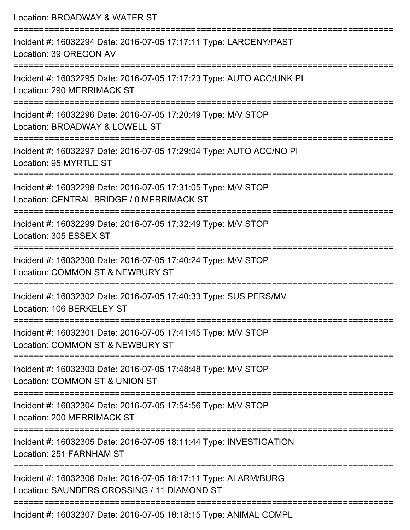| Location: BROADWAY & WATER ST                                                                                  |
|----------------------------------------------------------------------------------------------------------------|
| Incident #: 16032294 Date: 2016-07-05 17:17:11 Type: LARCENY/PAST<br>Location: 39 OREGON AV                    |
| Incident #: 16032295 Date: 2016-07-05 17:17:23 Type: AUTO ACC/UNK PI<br>Location: 290 MERRIMACK ST             |
| Incident #: 16032296 Date: 2016-07-05 17:20:49 Type: M/V STOP<br>Location: BROADWAY & LOWELL ST                |
| Incident #: 16032297 Date: 2016-07-05 17:29:04 Type: AUTO ACC/NO PI<br>Location: 95 MYRTLE ST                  |
| Incident #: 16032298 Date: 2016-07-05 17:31:05 Type: M/V STOP<br>Location: CENTRAL BRIDGE / 0 MERRIMACK ST     |
| Incident #: 16032299 Date: 2016-07-05 17:32:49 Type: M/V STOP<br>Location: 305 ESSEX ST                        |
| Incident #: 16032300 Date: 2016-07-05 17:40:24 Type: M/V STOP<br>Location: COMMON ST & NEWBURY ST              |
| Incident #: 16032302 Date: 2016-07-05 17:40:33 Type: SUS PERS/MV<br>Location: 106 BERKELEY ST                  |
| Incident #: 16032301 Date: 2016-07-05 17:41:45 Type: M/V STOP<br>Location: COMMON ST & NEWBURY ST              |
| Incident #: 16032303 Date: 2016-07-05 17:48:48 Type: M/V STOP<br>Location: COMMON ST & UNION ST                |
| Incident #: 16032304 Date: 2016-07-05 17:54:56 Type: M/V STOP<br>Location: 200 MERRIMACK ST                    |
| Incident #: 16032305 Date: 2016-07-05 18:11:44 Type: INVESTIGATION<br>Location: 251 FARNHAM ST                 |
| Incident #: 16032306 Date: 2016-07-05 18:17:11 Type: ALARM/BURG<br>Location: SAUNDERS CROSSING / 11 DIAMOND ST |
| $Inoidont + 16099907$ Dete: 2016.07.05.10:10:15 Tupe: ANIIMAL COMPL                                            |

Incident #: 16032307 Date: 2016-07-05 18:18:15 Type: ANIMAL COMPL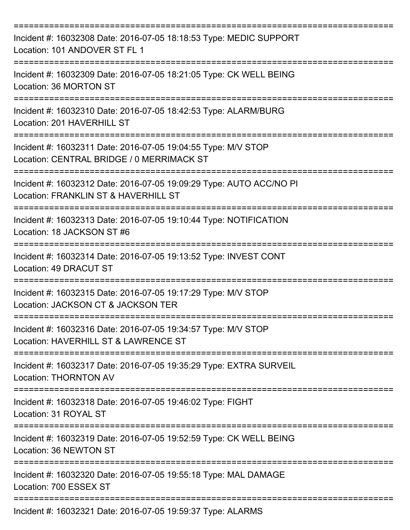| Incident #: 16032308 Date: 2016-07-05 18:18:53 Type: MEDIC SUPPORT<br>Location: 101 ANDOVER ST FL 1         |
|-------------------------------------------------------------------------------------------------------------|
| Incident #: 16032309 Date: 2016-07-05 18:21:05 Type: CK WELL BEING<br>Location: 36 MORTON ST                |
| Incident #: 16032310 Date: 2016-07-05 18:42:53 Type: ALARM/BURG<br>Location: 201 HAVERHILL ST               |
| Incident #: 16032311 Date: 2016-07-05 19:04:55 Type: M/V STOP<br>Location: CENTRAL BRIDGE / 0 MERRIMACK ST  |
| Incident #: 16032312 Date: 2016-07-05 19:09:29 Type: AUTO ACC/NO PI<br>Location: FRANKLIN ST & HAVERHILL ST |
| Incident #: 16032313 Date: 2016-07-05 19:10:44 Type: NOTIFICATION<br>Location: 18 JACKSON ST #6             |
| Incident #: 16032314 Date: 2016-07-05 19:13:52 Type: INVEST CONT<br>Location: 49 DRACUT ST                  |
| Incident #: 16032315 Date: 2016-07-05 19:17:29 Type: M/V STOP<br>Location: JACKSON CT & JACKSON TER         |
| Incident #: 16032316 Date: 2016-07-05 19:34:57 Type: M/V STOP<br>Location: HAVERHILL ST & LAWRENCE ST       |
| Incident #: 16032317 Date: 2016-07-05 19:35:29 Type: EXTRA SURVEIL<br><b>Location: THORNTON AV</b>          |
| Incident #: 16032318 Date: 2016-07-05 19:46:02 Type: FIGHT<br>Location: 31 ROYAL ST                         |
| Incident #: 16032319 Date: 2016-07-05 19:52:59 Type: CK WELL BEING<br>Location: 36 NEWTON ST                |
| Incident #: 16032320 Date: 2016-07-05 19:55:18 Type: MAL DAMAGE<br>Location: 700 ESSEX ST                   |
| Incident #: 16032321 Date: 2016-07-05 19:59:37 Type: ALARMS                                                 |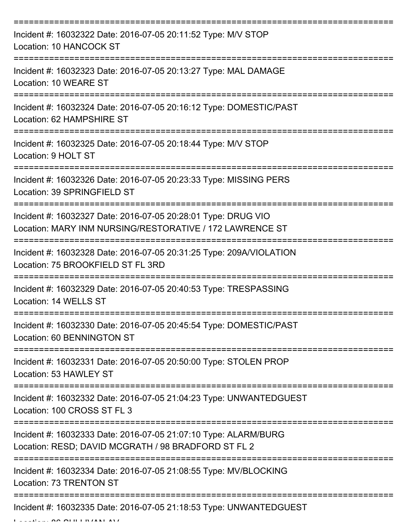| Incident #: 16032322 Date: 2016-07-05 20:11:52 Type: M/V STOP<br>Location: 10 HANCOCK ST                                  |
|---------------------------------------------------------------------------------------------------------------------------|
| Incident #: 16032323 Date: 2016-07-05 20:13:27 Type: MAL DAMAGE<br>Location: 10 WEARE ST                                  |
| Incident #: 16032324 Date: 2016-07-05 20:16:12 Type: DOMESTIC/PAST<br>Location: 62 HAMPSHIRE ST                           |
| Incident #: 16032325 Date: 2016-07-05 20:18:44 Type: M/V STOP<br>Location: 9 HOLT ST                                      |
| Incident #: 16032326 Date: 2016-07-05 20:23:33 Type: MISSING PERS<br>Location: 39 SPRINGFIELD ST                          |
| Incident #: 16032327 Date: 2016-07-05 20:28:01 Type: DRUG VIO<br>Location: MARY INM NURSING/RESTORATIVE / 172 LAWRENCE ST |
| Incident #: 16032328 Date: 2016-07-05 20:31:25 Type: 209A/VIOLATION<br>Location: 75 BROOKFIELD ST FL 3RD                  |
| Incident #: 16032329 Date: 2016-07-05 20:40:53 Type: TRESPASSING<br>Location: 14 WELLS ST                                 |
| Incident #: 16032330 Date: 2016-07-05 20:45:54 Type: DOMESTIC/PAST<br>Location: 60 BENNINGTON ST                          |
| Incident #: 16032331 Date: 2016-07-05 20:50:00 Type: STOLEN PROP<br>Location: 53 HAWLEY ST                                |
| Incident #: 16032332 Date: 2016-07-05 21:04:23 Type: UNWANTEDGUEST<br>Location: 100 CROSS ST FL 3                         |
| Incident #: 16032333 Date: 2016-07-05 21:07:10 Type: ALARM/BURG<br>Location: RESD; DAVID MCGRATH / 98 BRADFORD ST FL 2    |
| Incident #: 16032334 Date: 2016-07-05 21:08:55 Type: MV/BLOCKING<br>Location: 73 TRENTON ST                               |
| Incident #: 16032335 Date: 2016-07-05 21:18:53 Type: UNWANTEDGUEST                                                        |

Location: 86 SULLIVAN AV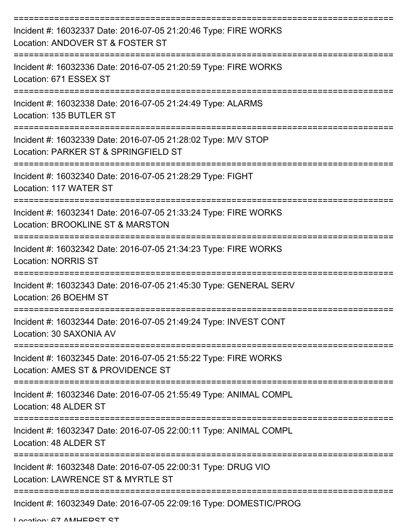| Incident #: 16032337 Date: 2016-07-05 21:20:46 Type: FIRE WORKS<br>Location: ANDOVER ST & FOSTER ST                         |
|-----------------------------------------------------------------------------------------------------------------------------|
| Incident #: 16032336 Date: 2016-07-05 21:20:59 Type: FIRE WORKS<br>Location: 671 ESSEX ST                                   |
| Incident #: 16032338 Date: 2016-07-05 21:24:49 Type: ALARMS<br>Location: 135 BUTLER ST                                      |
| Incident #: 16032339 Date: 2016-07-05 21:28:02 Type: M/V STOP<br>Location: PARKER ST & SPRINGFIELD ST                       |
| Incident #: 16032340 Date: 2016-07-05 21:28:29 Type: FIGHT<br>Location: 117 WATER ST                                        |
| Incident #: 16032341 Date: 2016-07-05 21:33:24 Type: FIRE WORKS<br>Location: BROOKLINE ST & MARSTON                         |
| Incident #: 16032342 Date: 2016-07-05 21:34:23 Type: FIRE WORKS<br><b>Location: NORRIS ST</b>                               |
| Incident #: 16032343 Date: 2016-07-05 21:45:30 Type: GENERAL SERV<br>Location: 26 BOEHM ST                                  |
| Incident #: 16032344 Date: 2016-07-05 21:49:24 Type: INVEST CONT<br>Location: 30 SAXONIA AV                                 |
| :==================<br>Incident #: 16032345 Date: 2016-07-05 21:55:22 Type: FIRE WORKS<br>Location: AMES ST & PROVIDENCE ST |
| Incident #: 16032346 Date: 2016-07-05 21:55:49 Type: ANIMAL COMPL<br>Location: 48 ALDER ST                                  |
| Incident #: 16032347 Date: 2016-07-05 22:00:11 Type: ANIMAL COMPL<br>Location: 48 ALDER ST                                  |
| Incident #: 16032348 Date: 2016-07-05 22:00:31 Type: DRUG VIO<br>Location: LAWRENCE ST & MYRTLE ST                          |
| Incident #: 16032349 Date: 2016-07-05 22:09:16 Type: DOMESTIC/PROG                                                          |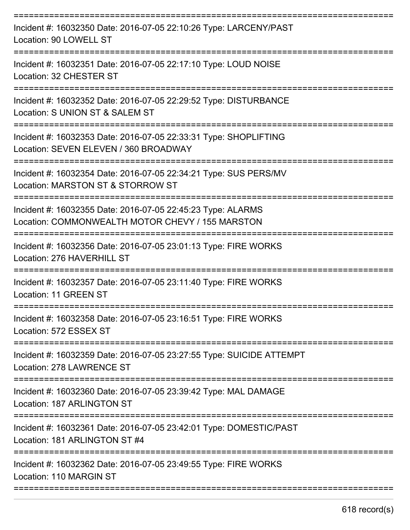| Incident #: 16032350 Date: 2016-07-05 22:10:26 Type: LARCENY/PAST<br>Location: 90 LOWELL ST                                                                 |
|-------------------------------------------------------------------------------------------------------------------------------------------------------------|
| Incident #: 16032351 Date: 2016-07-05 22:17:10 Type: LOUD NOISE<br>Location: 32 CHESTER ST                                                                  |
| Incident #: 16032352 Date: 2016-07-05 22:29:52 Type: DISTURBANCE<br>Location: S UNION ST & SALEM ST                                                         |
| Incident #: 16032353 Date: 2016-07-05 22:33:31 Type: SHOPLIFTING<br>Location: SEVEN ELEVEN / 360 BROADWAY                                                   |
| Incident #: 16032354 Date: 2016-07-05 22:34:21 Type: SUS PERS/MV<br>Location: MARSTON ST & STORROW ST                                                       |
| Incident #: 16032355 Date: 2016-07-05 22:45:23 Type: ALARMS<br>Location: COMMONWEALTH MOTOR CHEVY / 155 MARSTON                                             |
| Incident #: 16032356 Date: 2016-07-05 23:01:13 Type: FIRE WORKS<br>Location: 276 HAVERHILL ST                                                               |
| Incident #: 16032357 Date: 2016-07-05 23:11:40 Type: FIRE WORKS<br>Location: 11 GREEN ST                                                                    |
| Incident #: 16032358 Date: 2016-07-05 23:16:51 Type: FIRE WORKS<br>Location: 572 ESSEX ST                                                                   |
| ======================<br>----------------------------<br>Incident #: 16032359 Date: 2016-07-05 23:27:55 Type: SUICIDE ATTEMPT<br>Location: 278 LAWRENCE ST |
| ======================================<br>Incident #: 16032360 Date: 2016-07-05 23:39:42 Type: MAL DAMAGE<br>Location: 187 ARLINGTON ST                     |
| Incident #: 16032361 Date: 2016-07-05 23:42:01 Type: DOMESTIC/PAST<br>Location: 181 ARLINGTON ST #4                                                         |
| Incident #: 16032362 Date: 2016-07-05 23:49:55 Type: FIRE WORKS<br>Location: 110 MARGIN ST                                                                  |
|                                                                                                                                                             |